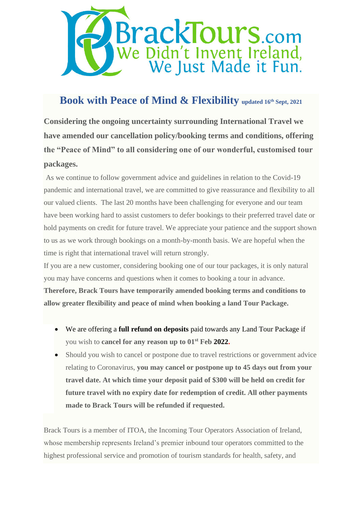

## **Book with Peace of Mind & Flexibility updated 16th Sept, <sup>2021</sup>**

**Considering the ongoing uncertainty surrounding International Travel we have amended our cancellation policy/booking terms and conditions, offering the "Peace of Mind" to all considering one of our wonderful, customised tour packages.** 

As we continue to follow government advice and guidelines in relation to the Covid-19 pandemic and international travel, we are committed to give reassurance and flexibility to all our valued clients. The last 20 months have been challenging for everyone and our team have been working hard to assist customers to defer bookings to their preferred travel date or hold payments on credit for future travel. We appreciate your patience and the support shown to us as we work through bookings on a month-by-month basis. We are hopeful when the time is right that international travel will return strongly.

If you are a new customer, considering booking one of our tour packages, it is only natural you may have concerns and questions when it comes to booking a tour in advance. **Therefore, Brack Tours have temporarily amended booking terms and conditions to allow greater flexibility and peace of mind when booking a land Tour Package.** 

- We are offering a **full refund on deposits** paid towards any Land Tour Package if you wish to **cancel for any reason up to 01st Feb 2022.**
- Should you wish to cancel or postpone due to travel restrictions or government advice relating to Coronavirus, **you may cancel or postpone up to 45 days out from your travel date. At which time your deposit paid of \$300 will be held on credit for future travel with no expiry date for redemption of credit. All other payments made to Brack Tours will be refunded if requested.**

Brack Tours is a member of ITOA, the Incoming Tour Operators Association of Ireland, whose membership represents Ireland's premier inbound tour operators committed to the highest professional service and promotion of tourism standards for health, safety, and